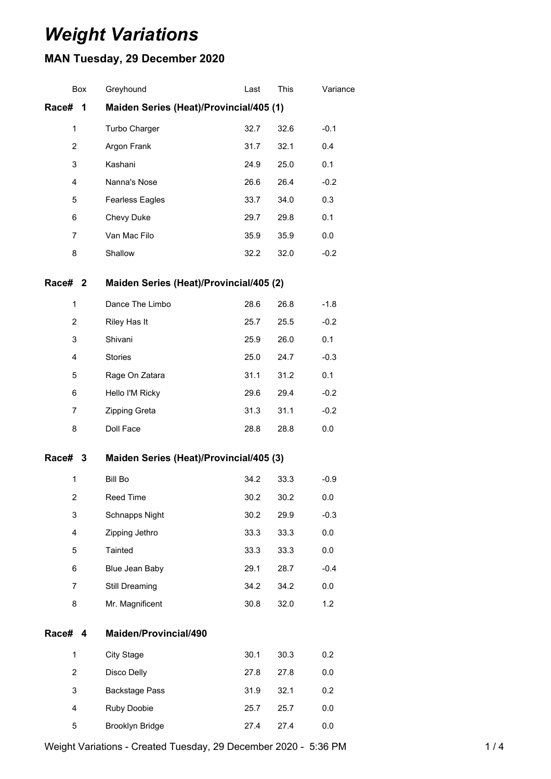# *Weight Variations*

## **MAN Tuesday, 29 December 2020**

|                    | Box | Greyhound                               | Last | This | Variance |
|--------------------|-----|-----------------------------------------|------|------|----------|
| Race#              | 1   | Maiden Series (Heat)/Provincial/405 (1) |      |      |          |
| $\mathbf{1}$       |     | Turbo Charger                           | 32.7 | 32.6 | $-0.1$   |
| 2                  |     | Argon Frank                             | 31.7 | 32.1 | 0.4      |
| 3                  |     | Kashani                                 | 24.9 | 25.0 | 0.1      |
| 4                  |     | Nanna's Nose                            | 26.6 | 26.4 | $-0.2$   |
| 5                  |     | <b>Fearless Eagles</b>                  | 33.7 | 34.0 | 0.3      |
| 6                  |     | Chevy Duke                              | 29.7 | 29.8 | 0.1      |
| 7                  |     | Van Mac Filo                            | 35.9 | 35.9 | 0.0      |
| 8                  |     | Shallow                                 | 32.2 | 32.0 | $-0.2$   |
| Race# <sub>2</sub> |     | Maiden Series (Heat)/Provincial/405 (2) |      |      |          |
| 1                  |     | Dance The Limbo                         | 28.6 | 26.8 | $-1.8$   |
| 2                  |     | Riley Has It                            | 25.7 | 25.5 | $-0.2$   |
| 3                  |     | Shivani                                 | 25.9 | 26.0 | 0.1      |
| 4                  |     | <b>Stories</b>                          | 25.0 | 24.7 | $-0.3$   |
| 5                  |     | Rage On Zatara                          | 31.1 | 31.2 | 0.1      |
| 6                  |     | Hello I'M Ricky                         | 29.6 | 29.4 | $-0.2$   |
| 7                  |     | Zipping Greta                           | 31.3 | 31.1 | $-0.2$   |
| 8                  |     | Doll Face                               | 28.8 | 28.8 | 0.0      |
| Race#              | -3  | Maiden Series (Heat)/Provincial/405 (3) |      |      |          |
| 1                  |     | <b>Bill Bo</b>                          | 34.2 | 33.3 | $-0.9$   |
| $\overline{2}$     |     | <b>Reed Time</b>                        | 30.2 | 30.2 | 0.0      |
| 3                  |     | Schnapps Night                          | 30.2 | 29.9 | $-0.3$   |
| 4                  |     | Zipping Jethro                          | 33.3 | 33.3 | 0.0      |
| 5                  |     | Tainted                                 | 33.3 | 33.3 | 0.0      |
| 6                  |     | Blue Jean Baby                          | 29.1 | 28.7 | $-0.4$   |
| 7                  |     | Still Dreaming                          | 34.2 | 34.2 | 0.0      |
| 8                  |     | Mr. Magnificent                         | 30.8 | 32.0 | 1.2      |
| Race# 4            |     | Maiden/Provincial/490                   |      |      |          |
| 1                  |     | <b>City Stage</b>                       | 30.1 | 30.3 | 0.2      |
| $\overline{2}$     |     | Disco Delly                             | 27.8 | 27.8 | 0.0      |
| 3                  |     | <b>Backstage Pass</b>                   | 31.9 | 32.1 | 0.2      |
| 4                  |     | Ruby Doobie                             | 25.7 | 25.7 | 0.0      |
| 5                  |     | Brooklyn Bridge                         | 27.4 | 27.4 | 0.0      |

Weight Variations - Created Tuesday, 29 December 2020 - 5:36 PM 1/4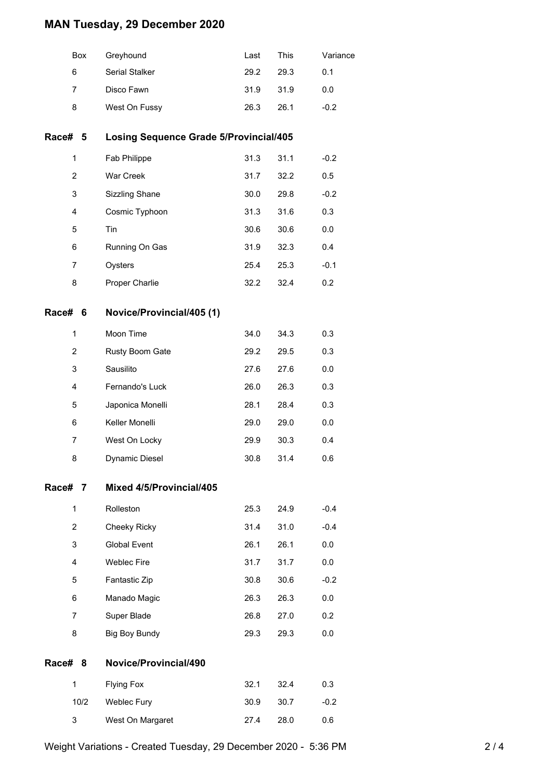## **MAN Tuesday, 29 December 2020**

|              | Box            | Greyhound                                     | Last | This | Variance |
|--------------|----------------|-----------------------------------------------|------|------|----------|
|              | 6              | Serial Stalker                                | 29.2 | 29.3 | 0.1      |
|              | 7              | Disco Fawn                                    | 31.9 | 31.9 | 0.0      |
|              | 8              | West On Fussy                                 | 26.3 | 26.1 | $-0.2$   |
| Race# 5      |                | <b>Losing Sequence Grade 5/Provincial/405</b> |      |      |          |
|              | 1              | Fab Philippe                                  | 31.3 | 31.1 | $-0.2$   |
|              | $\overline{2}$ | War Creek                                     | 31.7 | 32.2 | 0.5      |
|              | 3              | Sizzling Shane                                | 30.0 | 29.8 | $-0.2$   |
|              | 4              | Cosmic Typhoon                                | 31.3 | 31.6 | 0.3      |
|              | 5              | Tin                                           | 30.6 | 30.6 | 0.0      |
|              | 6              | Running On Gas                                | 31.9 | 32.3 | 0.4      |
|              | 7              | Oysters                                       | 25.4 | 25.3 | $-0.1$   |
|              | 8              | Proper Charlie                                | 32.2 | 32.4 | 0.2      |
| Race# 6      |                | Novice/Provincial/405 (1)                     |      |      |          |
|              | $\mathbf{1}$   | Moon Time                                     | 34.0 | 34.3 | 0.3      |
|              | $\overline{2}$ | Rusty Boom Gate                               | 29.2 | 29.5 | 0.3      |
|              | 3              | Sausilito                                     | 27.6 | 27.6 | 0.0      |
|              | 4              | Fernando's Luck                               | 26.0 | 26.3 | 0.3      |
|              | 5              | Japonica Monelli                              | 28.1 | 28.4 | 0.3      |
|              | 6              | Keller Monelli                                | 29.0 | 29.0 | 0.0      |
|              | 7              | West On Locky                                 | 29.9 | 30.3 | 0.4      |
|              | 8              | Dynamic Diesel                                | 30.8 | 31.4 | 0.6      |
| Race#        | 7              | Mixed 4/5/Provincial/405                      |      |      |          |
|              | $\mathbf{1}$   | Rolleston                                     | 25.3 | 24.9 | $-0.4$   |
|              | 2              | Cheeky Ricky                                  | 31.4 | 31.0 | $-0.4$   |
|              | 3              | <b>Global Event</b>                           | 26.1 | 26.1 | 0.0      |
|              | 4              | <b>Weblec Fire</b>                            | 31.7 | 31.7 | 0.0      |
|              | 5              | Fantastic Zip                                 | 30.8 | 30.6 | $-0.2$   |
|              | 6              | Manado Magic                                  | 26.3 | 26.3 | 0.0      |
|              | $\overline{7}$ | Super Blade                                   | 26.8 | 27.0 | 0.2      |
|              | 8              | Big Boy Bundy                                 | 29.3 | 29.3 | 0.0      |
| <b>Race#</b> | 8              | Novice/Provincial/490                         |      |      |          |
|              | 1              | <b>Flying Fox</b>                             | 32.1 | 32.4 | 0.3      |
|              | 10/2           | Weblec Fury                                   | 30.9 | 30.7 | $-0.2$   |
|              | 3              | West On Margaret                              | 27.4 | 28.0 | 0.6      |
|              |                |                                               |      |      |          |

Weight Variations - Created Tuesday, 29 December 2020 - 5:36 PM 2 / 4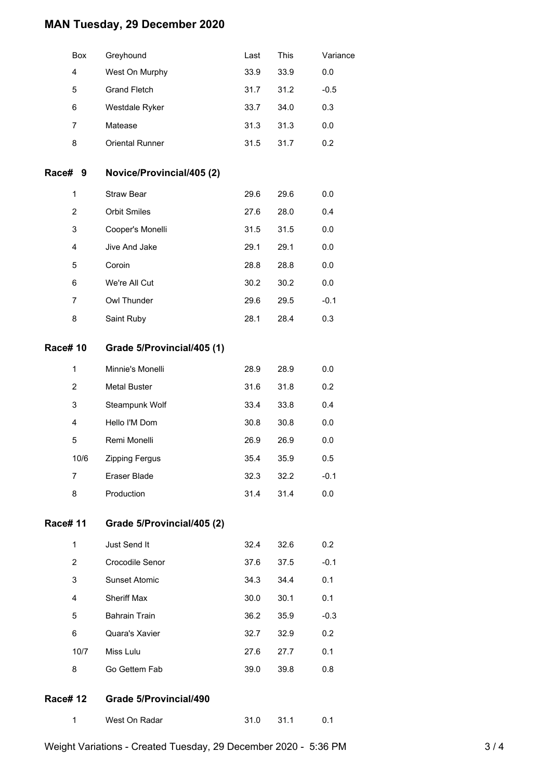### **MAN Tuesday, 29 December 2020**

|                | Box            | Greyhound                  | Last | This | Variance |
|----------------|----------------|----------------------------|------|------|----------|
|                | 4              | West On Murphy             | 33.9 | 33.9 | 0.0      |
|                | 5              | <b>Grand Fletch</b>        | 31.7 | 31.2 | $-0.5$   |
|                | 6              | Westdale Ryker             | 33.7 | 34.0 | 0.3      |
|                | $\overline{7}$ | Matease                    | 31.3 | 31.3 | 0.0      |
|                | 8              | <b>Oriental Runner</b>     | 31.5 | 31.7 | 0.2      |
| Race#          | 9              | Novice/Provincial/405 (2)  |      |      |          |
|                | 1              | Straw Bear                 | 29.6 | 29.6 | 0.0      |
|                | $\overline{2}$ | <b>Orbit Smiles</b>        | 27.6 | 28.0 | 0.4      |
|                | 3              | Cooper's Monelli           | 31.5 | 31.5 | 0.0      |
|                | 4              | Jive And Jake              | 29.1 | 29.1 | $0.0\,$  |
|                | 5              | Coroin                     | 28.8 | 28.8 | 0.0      |
|                | 6              | We're All Cut              | 30.2 | 30.2 | $0.0\,$  |
|                | 7              | Owl Thunder                | 29.6 | 29.5 | $-0.1$   |
|                | 8              | Saint Ruby                 | 28.1 | 28.4 | 0.3      |
| <b>Race#10</b> |                | Grade 5/Provincial/405 (1) |      |      |          |
|                | 1              | Minnie's Monelli           | 28.9 | 28.9 | 0.0      |
|                | $\overline{2}$ | <b>Metal Buster</b>        | 31.6 | 31.8 | 0.2      |
|                | 3              | Steampunk Wolf             | 33.4 | 33.8 | 0.4      |
|                | 4              | Hello I'M Dom              | 30.8 | 30.8 | 0.0      |
|                | 5              | Remi Monelli               | 26.9 | 26.9 | 0.0      |
|                | 10/6           | Zipping Fergus             | 35.4 | 35.9 | 0.5      |
|                | 7              | Eraser Blade               | 32.3 | 32.2 | $-0.1$   |
|                | 8              | Production                 | 31.4 | 31.4 | 0.0      |

#### **Race# 11 Grade 5/Provincial/405 (2)**

| 1    | Just Send It         | 32.4 | 32.6 | 0.2    |
|------|----------------------|------|------|--------|
| 2    | Crocodile Senor      | 37.6 | 37.5 | $-0.1$ |
| 3    | <b>Sunset Atomic</b> | 34.3 | 34.4 | 0.1    |
| 4    | <b>Sheriff Max</b>   | 30.0 | 30.1 | 0.1    |
| 5    | <b>Bahrain Train</b> | 36.2 | 35.9 | $-0.3$ |
| 6    | Quara's Xavier       | 32.7 | 32.9 | 0.2    |
| 10/7 | Miss Lulu            | 27.6 | 27.7 | 0.1    |
| 8    | Go Gettem Fab        | 39.0 | 39.8 | 0.8    |

#### **Race# 12 Grade 5/Provincial/490**

| West On Radar | - 31.1 | 0.1 |
|---------------|--------|-----|
|---------------|--------|-----|

Weight Variations - Created Tuesday, 29 December 2020 - 5:36 PM 3 / 4